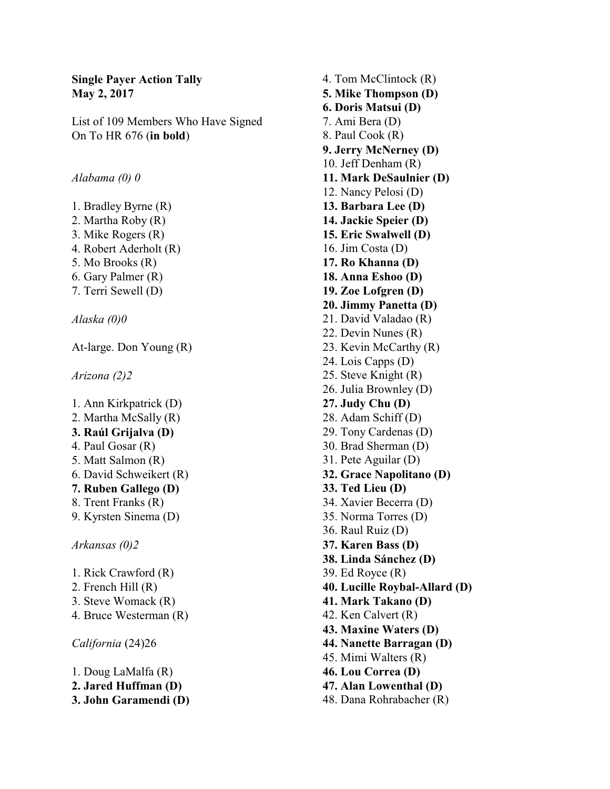## **Single Payer Action Tally May 2, 2017**

List of 109 Members Who Have Signed On To HR 676 (**in bold**)

*Alabama (0) 0*

- 1. Bradley Byrne (R)
- 2. Martha Roby (R)
- 3. Mike Rogers (R)
- 4. Robert Aderholt (R)
- 5. Mo Brooks (R)
- 6. Gary Palmer (R)
- 7. Terri Sewell (D)

*Alaska (0)0*

At-large. Don Young (R)

*Arizona (2)2*

- 1. Ann Kirkpatrick (D) 2. Martha McSally (R) **3. Raúl Grijalva (D)** 4. Paul Gosar (R) 5. Matt Salmon (R) 6. David Schweikert (R) **7. Ruben Gallego (D)** 8. Trent Franks (R) 9. Kyrsten Sinema (D) *Arkansas (0)2* 1. Rick Crawford (R) 2. French Hill (R) 3. Steve Womack (R)
- 4. Bruce Westerman (R)

*California* (24)26

- 1. Doug LaMalfa (R)
- **2. Jared Huffman (D)**
- **3. John Garamendi (D)**

4. Tom McClintock (R) **5. Mike Thompson (D) 6. Doris Matsui (D)** 7. Ami Bera (D) 8. Paul Cook (R) **9. Jerry McNerney (D)** 10. Jeff Denham (R) **11. Mark DeSaulnier (D)** 12. Nancy Pelosi (D) **13. Barbara Lee (D) 14. Jackie Speier (D) 15. Eric Swalwell (D)** 16. Jim Costa (D) **17. Ro Khanna (D) 18. Anna Eshoo (D) 19. Zoe Lofgren (D) 20. Jimmy Panetta (D)** 21. David Valadao (R) 22. Devin Nunes (R) 23. Kevin McCarthy (R) 24. Lois Capps (D) 25. Steve Knight (R) 26. Julia Brownley (D) **27. Judy Chu (D)** 28. Adam Schiff (D) 29. Tony Cardenas (D) 30. Brad Sherman (D) 31. Pete Aguilar (D) **32. Grace Napolitano (D) 33. Ted Lieu (D)** 34. Xavier Becerra (D) 35. Norma Torres (D) 36. Raul Ruiz (D) **37. Karen Bass (D) 38. Linda Sánchez (D)** 39. Ed Royce (R) **40. Lucille Roybal-Allard (D) 41. Mark Takano (D)** 42. Ken Calvert (R) **43. Maxine Waters (D) 44. Nanette Barragan (D)** 45. Mimi Walters (R) **46. Lou Correa (D) 47. Alan Lowenthal (D)** 48. Dana Rohrabacher (R)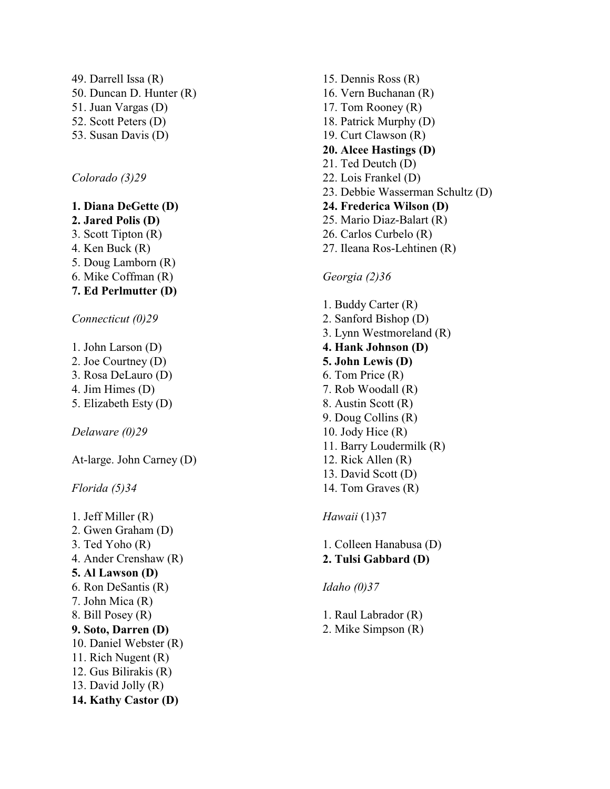49. Darrell Issa (R) 50. Duncan D. Hunter (R) 51. Juan Vargas (D) 52. Scott Peters (D) 53. Susan Davis (D)

*Colorado (3)29*

### **1. Diana DeGette (D)**

- **2. Jared Polis (D)**
- 3. Scott Tipton (R)
- 4. Ken Buck (R)
- 5. Doug Lamborn (R)
- 6. Mike Coffman (R)
- **7. Ed Perlmutter (D)**

*Connecticut (0)29*

- 1. John Larson (D)
- 2. Joe Courtney (D)
- 3. Rosa DeLauro (D)
- 4. Jim Himes (D)
- 5. Elizabeth Esty (D)

*Delaware (0)29*

At-large. John Carney (D)

*Florida (5)34*

1. Jeff Miller (R) 2. Gwen Graham (D) 3. Ted Yoho (R) 4. Ander Crenshaw (R) **5. Al Lawson (D)** 6. Ron DeSantis (R) 7. John Mica (R) 8. Bill Posey (R) **9. Soto, Darren (D)** 10. Daniel Webster (R) 11. Rich Nugent (R) 12. Gus Bilirakis (R) 13. David Jolly (R) **14. Kathy Castor (D)**

15. Dennis Ross (R) 16. Vern Buchanan (R) 17. Tom Rooney (R) 18. Patrick Murphy (D) 19. Curt Clawson (R) **20. Alcee Hastings (D)** 21. Ted Deutch (D) 22. Lois Frankel (D) 23. Debbie Wasserman Schultz (D) **24. Frederica Wilson (D)** 25. Mario Diaz-Balart (R) 26. Carlos Curbelo (R) 27. Ileana Ros-Lehtinen (R)

#### *Georgia (2)36*

- 1. B uddy Carter (R) 2. Sanford Bishop (D) 3. L ynn Westmoreland (R) **4. Hank Johnson (D) 5. John Lewis (D)** 6. Tom Price (R) 7. Rob Woodall (R) 8. Austin Scott (R) 9. Doug Collins (R) 10. Jody Hice (R) 11. Barry Loudermilk (R) 12. Rick Allen (R) 13. David Scott (D) 14. Tom Graves (R) *Hawaii* (1)37
- 1. Colleen Hanabusa (D) **2. Tulsi Gabbard (D)**
- *Idaho (0)37*
- 1. Raul Labrador (R)
- 2. Mike Simpson (R)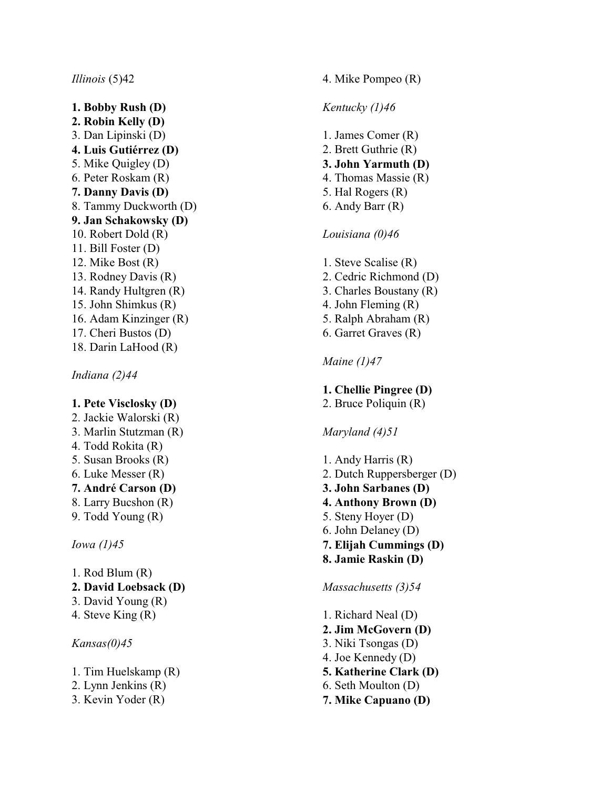#### *Illinois* (5)42

**1. Bobby Rush (D) 2. Robin Kelly (D)** 3. Dan Lipinski (D) **4. Luis Gutiérrez (D)** 5. Mike Quigley (D) 6. Peter Roskam (R) **7. Danny Davis (D)** 8. Tammy Duckworth (D) **9. Jan Schakowsky (D)** 10. Robert Dold (R) 11. Bill Foster (D) 12. Mike Bost (R) 13. Rodney Davis (R) 14. Randy Hultgren (R) 15. John Shimkus (R) 16. Adam Kinzinger (R) 17. Cheri Bustos (D) 18. Darin LaHood (R)

*Indiana (2)44*

#### **1. Pete Visclosky (D)**

2. Jackie Walorski (R) 3. Marlin Stutzman (R) 4. Todd Rokita (R) 5. Susan Brooks (R) 6. Luke Messer (R) **7. André Carson (D)** 8. Larry B ucshon (R) 9. Todd Young (R)

*Iowa (1) 4 5*

- 1. Rod Blum (R)
- **2. David Loebsack (D)**
- 3. David Young (R)
- 4. Steve King (R)

*Kansas(0)45*

- 1. Tim Huelskamp (R)
- 2. L ynn Jenkins (R)
- 3. Kevin Yoder (R)

## 4. Mike Pompeo (R)

## *Kentucky (1)46*

1. James Comer (R) 2. B rett Guthrie (R) **3. John Yarmuth (D)** 4. Thomas Massie (R) 5. Hal Rogers (R) 6. Andy Barr (R)

## *Louisiana (0)46*

1. Steve Scalise (R) 2. Cedric Richmond (D) 3. Charles Boustany (R) 4. John Fleming (R) 5. Ralph Abraham (R) 6. Garret Graves (R)

## *Maine (1)47*

## **1. Chellie Pingree (D)**

2. B ruce Poliquin (R)

## *Maryland (4)51*

1. Andy Harris (R) 2. Dutch Ruppersberg er (D) **3. John Sarbanes (D) 4. Anthony Brown (D)** 5. Steny Hoyer (D) 6. John Delaney (D) **7. Elijah Cum mings (D) 8. Jamie Raskin (D)**

## *Massachusetts (3)54*

- 1. Richard Neal (D) **2. Jim McGovern (D)** 3. Niki Tsongas (D) 4. Joe Kennedy (D) **5. Katherine Clark (D)** 6. Seth Moulton (D)
- **7. Mike Capuano (D)**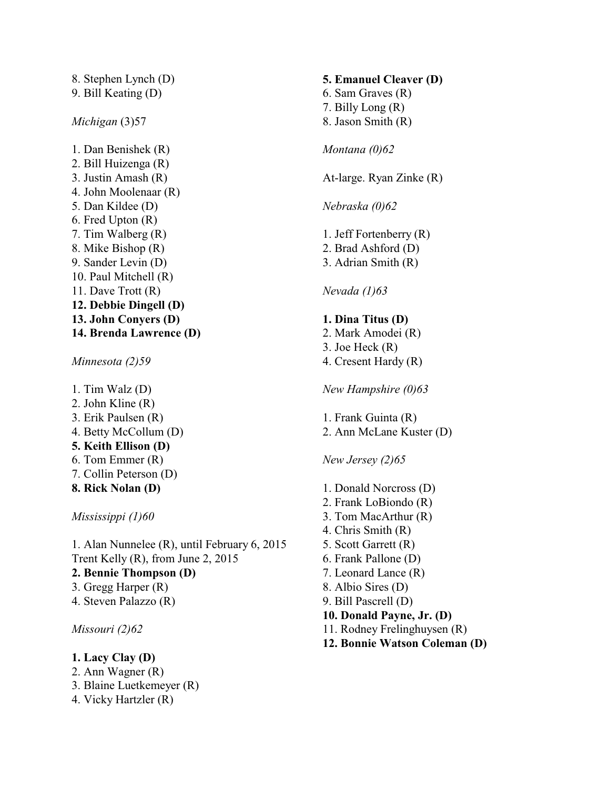8. Stephen Lynch (D) 9. Bill Keating (D) *Michigan* (3)57 1. Dan Benishek (R)

2. Bill Huizenga (R) 3. Justin Amash (R) 4. John Moolenaar (R) 5. Dan Kildee (D) 6. Fred Upton (R) 7. Tim Walberg (R) 8. Mike Bishop (R) 9. Sander Levin (D) 10. Paul Mitchell (R) 11. Dave Trott (R) **12. Debbie Dingell (D) 13. John Conyers (D) 14. Brenda Lawrence (D)**

*Minnesota (2)59*

1. Tim Walz (D) 2. John Kline (R) 3. Erik Paulsen (R) 4. Betty McCollum (D) **5. Keith Ellison (D)** 6. Tom Emmer (R) 7. Collin Peterson (D) **8. Rick Nolan (D)**

*Mississippi (1)60*

1. Alan Nunnelee (R), until February 6, 2015 Trent Kelly (R), from June 2, 2015 **2. Bennie Thompson (D)** 3. Gregg Harper (R) 4. Steven Palazzo (R)

*Missouri (2)62*

**1. Lacy Clay (D)** 2. Ann Wagner (R) 3. Blaine Luetkemeyer (R) 4. Vicky Hartzler (R)

# **5. Emanuel Cleaver (D)** 6. Sam Graves (R) 7. Billy Long (R) 8. Jason Smith (R) *Montana (0)62* At-large. Ryan Zinke (R) *Nebraska (0)62* 1. Jeff Fortenberry (R) 2. Brad Ashford (D) 3. Adrian Smith (R) *Nevada (1)63* **1. Dina Titus (D)** 2. Mark Amodei (R) 3. Joe Heck (R) 4. Cresent Hardy (R) *New Hampshire (0)63* 1. Frank Guinta (R) 2. Ann McLane Kuster (D) *New Jersey (2)65* 1. Donald Norcross (D) 2. Frank LoBiondo (R) 3. Tom MacArthur (R) 4. Chris Smith (R) 5. Scott Garrett (R) 6. Frank Pallone (D) 7. Leonard Lance (R) 8. Albio Sires (D) 9. Bill Pascrell (D) **10. Donald Payne, Jr. (D)** 11. Rodney Frelinghuysen (R)

**12. Bonnie Watson Coleman (D)**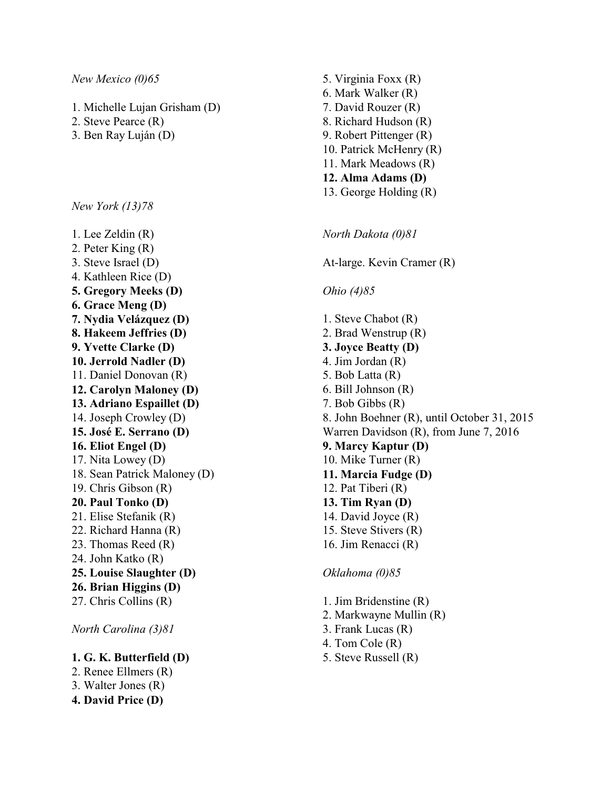#### *New Mexico (0)65*

- 1. Michelle Lujan Grisham (D)
- 2. Steve Pearce (R)
- 3. Ben Ray Luján (D)

*New York (13)78*

1. Lee Zeldin (R) 2. Peter King (R) 3. Steve Israel (D) 4. Kathleen Rice (D) **5. Gregory Meeks (D) 6. Grace Meng (D) 7. Nydia Velázquez (D) 8. Hakeem Jeffries (D) 9. Yvette Clarke (D) 10. Jerrold Nadler (D)** 11. Daniel Donovan (R) **12. Carolyn Maloney (D) 13. Adriano Espaillet (D)** 14. Joseph Crowley (D) **15. José E. Serrano (D) 16. Eliot Engel (D)** 17. Nita Lowey (D) 18. Sean Patrick Maloney (D) 19. Chris Gibson (R) **20. Paul Tonko (D)** 21. Elise Stefanik (R) 22. Richard Hanna (R) 23. Thomas Reed (R) 24. John Katko (R) **25. Louise Slaughter (D) 26. Brian Higgins (D)** 27. Chris Collins (R)

*North Carolina (3)81*

## **1. G. K. Butterfield (D)**

2. Renee Ellmers (R) 3. Walter Jones (R)

5. Virginia Foxx (R) 6. Mark Walker (R) 7. David Rouzer (R) 8. Richard Hudson (R) 9. Robert Pittenger (R) 10. Patrick McHenry (R) 11. Mark Meadows (R) **12. Alma Adams (D)** 13. George Holding (R)

*North Dakota (0)81*

At-large. Kevin Cramer (R)

#### *Ohio (4)85*

1. Steve Chabot (R) 2. Brad Wenstrup (R) **3. Joyce Beatty (D)** 4. Jim Jordan (R) 5. Bob Latta (R) 6. Bill Johnson (R) 7. Bob Gibbs (R) 8. John Boehner (R), until October 31, 2015 Warren Davidson (R), from June 7, 2016 **9. Marcy Kaptur (D)** 10. Mike Turner (R) **11. Marcia Fudge (D)** 12. Pat Tiberi (R) **13. Tim Ryan (D)** 14. David Joyce (R) 15. Steve Stivers (R) 16. Jim Renacci (R)

*Oklahoma (0)85*

1. Jim Bridenstine (R) 2. Markwayne Mullin (R) 3. Frank Lucas (R) 4. Tom Cole (R) 5. Steve Russell (R)

**4. David Price (D)**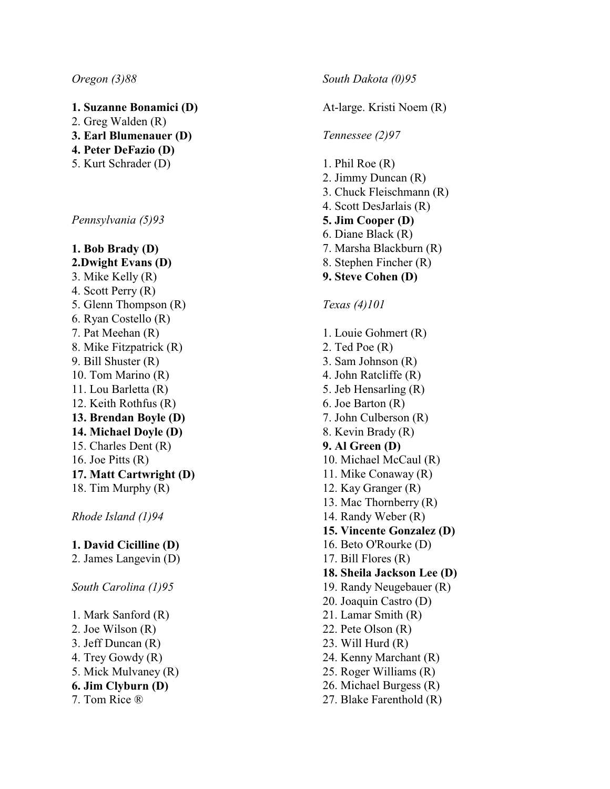#### *Oregon (3)88*

- **1. Suzanne Bonamici (D)**
- 2. Greg Walden (R)
- **3. Earl Blumenauer (D)**
- **4. Peter DeFazio (D)**
- 5. Kurt Schrader (D)

*Pennsylvania (5)93*

**1. Bob Brady (D) 2.Dwight Evans (D)** 3. Mike Kelly (R) 4. Scott Perry (R) 5. Glenn Thompson (R) 6. Ryan Costello (R) 7. Pat Meehan (R) 8. Mike Fitzpatrick (R) 9. Bill Shuster (R) 10. Tom Marino (R) 11. Lou Barletta (R) 12. Keith Rothfus (R) **13. Brendan Boyle (D) 14. Michael Doyle (D)** 15. Charles Dent (R) 16. Joe Pitts  $(R)$ **17. Matt Cartw right (D)** 18. Tim Murphy (R)

*Rhode Island (1) 9 4*

## **1. David Cicilline (D)**

2. James Langevin (D)

*South Carolina (1)95*

- 1. Mark Sanford (R)
- 2. Joe Wilson (R)
- 3. Jeff Duncan (R)
- 4. Trey Gowdy (R)
- 5. Mick Mulvaney (R)
- **6. Jim Clyburn (D)**
- 7. Tom Rice ®

*South Dakota (0)95*

At-large. Kristi Noem (R)

#### *Tennessee (2)97*

- 1. Phil Roe (R) 2. Jimmy Duncan (R) 3. Chuck Fleischmann (R) 4. Scott DesJarlais (R) **5. Jim Cooper (D)** 6. Diane Black (R) 7. Marsha Blackburn (R) 8. Stephen Fincher (R) **9. Steve Cohen (D)** *Texas (4)101* 1. Louie Gohmert (R) 2. Ted Poe (R) 3. Sam J ohnson (R) 4. John Ratcliffe (R) 5. Jeb Hensarling (R) 6. Joe Barton (R) 7. John Culberson (R) 8. Kevin Brady (R) **9. Al G reen (D)** 10. Michael McCaul (R) 11. Mike Conaway (R) 12. Kay Granger (R)
- 13. Mac Thornberry (R)
- 14. Randy Weber (R)
- **15. Vincente G onzalez (D)**
- 16. Beto O'Rourke (D)
- 17. Bill Flores (R)
- **18. Sheila Jackson Lee (D)**
- 19. Randy Neugebauer (R)
- 20. Joaquin Castro (D)
- 21. Lamar Smith (R)
- 22. Pete Olson (R)
- 23. Will Hurd (R)
- 24. Kenny Marchant (R)
- 25. Rog er Williams (R)
- 26. Michael B urgess (R)
- 27. Blake Farenthold (R)